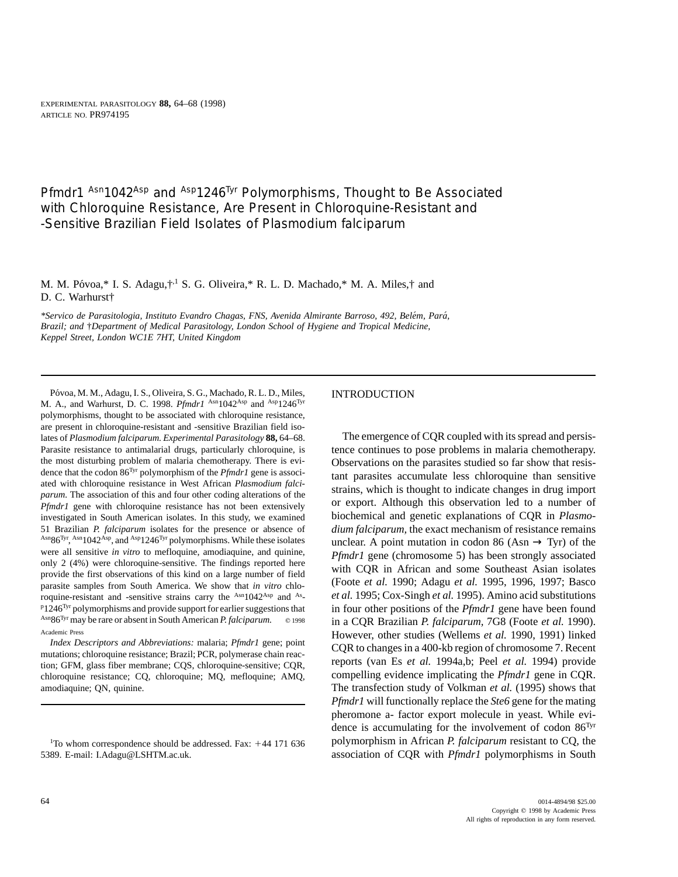*Pfmdr1* Asn1042Asp and Asp1246<sup>Tyr</sup> Polymorphisms, Thought to Be Associated with Chloroquine Resistance, Are Present in Chloroquine-Resistant and -Sensitive Brazilian Field Isolates of *Plasmodium falciparum*

M. M. Póvoa,\* I. S. Adagu, $\dagger$ ,<sup>1</sup> S. G. Oliveira,\* R. L. D. Machado,\* M. A. Miles, $\dagger$  and D. C. Warhurst†

*\*Servico de Parasitologia, Instituto Evandro Chagas, FNS, Avenida Almirante Barroso, 492, Bele´m, Para´, Brazil; and* †*Department of Medical Parasitology, London School of Hygiene and Tropical Medicine, Keppel Street, London WC1E 7HT, United Kingdom*

Póvoa, M. M., Adagu, I. S., Oliveira, S. G., Machado, R. L. D., Miles, **INTRODUCTION** M. A., and Warhurst, D. C. 1998. *Pfmdr1* Asn1042Asp and Asp1246Tyr polymorphisms, thought to be associated with chloroquine resistance, are present in chloroquine-resistant and -sensitive Brazilian field isolates of *Plasmodium falciparum. Experimental Parasitology* **88,** 64–68. The emergence of CQR coupled with its spread and persis-Parasite resistance to antimalarial drugs, particularly chloroquine, is tence continues to pose problems in malaria chemotherapy. the most disturbing problem of malaria chemotherapy. There is evi-<br>dence that the codon  $86^{Tyr}$  polymorphism of the *Pfmdr1* gene is associ-<br>tent. perspective, assumptlate lass ablance than associdence that the codon 86<sup>53</sup> polymorphism of the *Pfmar1* gene is associated with chloroquine resistance in West African *Plasmodium falci* and parasities accumulate less chloroquine than sensitive area with chloroquine res investigated in South American isolates. In this study, we examined biochemical and genetic explanations of CQR in *Plasmo-*51 Brazilian *P. falciparum* isolates for the presence or absence of *dium falciparum*, the exact mechanism of resistance remains  $A^{sing}\delta^{jyr}$ ,  $A^{sing}\delta^{jyr}$ , and  $A^{sp}1246^{jyr}$  polymorphisms. While these isolates unclear A Asn $86^{Tyr}$ , Asn1042Asp, and Asp1246<sup>Tyr</sup> polymorphisms. While these isolates unclear. A point mutation in codon 86 (Asn  $\rightarrow$  Tyr) of the were all sensitive *in vitro* to mefloquine, amodiaquine, and quinine, *Dendal sone* were all sensitive *in vitro* to methoquine, amodiaquine, and quinine,<br>
only 2 (4%) were chloroquine-sensitive. The findings reported here<br>
provide the first observations of this kind on a large number of field<br>
parasite roquine-resistant and -sensitive strains carry the <sup>Asn</sup>1042<sup>Asp</sup> and <sup>As</sup>- $P1246$ <sup>Tyr</sup> polymorphisms and provide support for earlier suggestions that <sup>P1246Tyr</sup> polymorphisms and provide support for earlier suggestions that in four other positions of the *Pfmdr1* gene have been found  $\frac{\text{As}_86 \text{Tyr}}{\text{As}_86 \text{Tyr}}$  may be rare or absent in South American *P*. falciparum Asn86<sup>Tyr</sup> may be rare or absent in South American *P. falciparum.* © 1998 in a CQR Brazilian *P. falciparum*, 7G8 (Foote *et al.* 1990).

chloroquine resistance; CQ, chloroquine; MQ, mefloquine; AMQ, compelling evidence implicating the *Pfmdr1* gene in CQR. amodiaquine; QN, quinine. The transfection study of Volkman *et al.* (1995) shows that

Academic Press<br>*Index Descriptors and Abbreviations:* malaria; *Pfmdr1* gene; point<br>mutations; chloroquine resistance; Brazil; PCR, polymerase chain reac-<br>tion; GFM, glass fiber membrane; CQS, chloroquine-sensitive; CQR, r *Pfmdr1* will functionally replace the *Ste6* gene for the mating pheromone a- factor export molecule in yeast. While evidence is accumulating for the involvement of codon  $86<sup>Tyr</sup>$ polymorphism in African *P. falciparum* resistant to CQ, the 5389. E-mail: I.Adagu@LSHTM.ac.uk. **association of CQR** with *Pfmdr1* polymorphisms in South

<sup>&</sup>lt;sup>1</sup>To whom correspondence should be addressed. Fax:  $+44$  171 636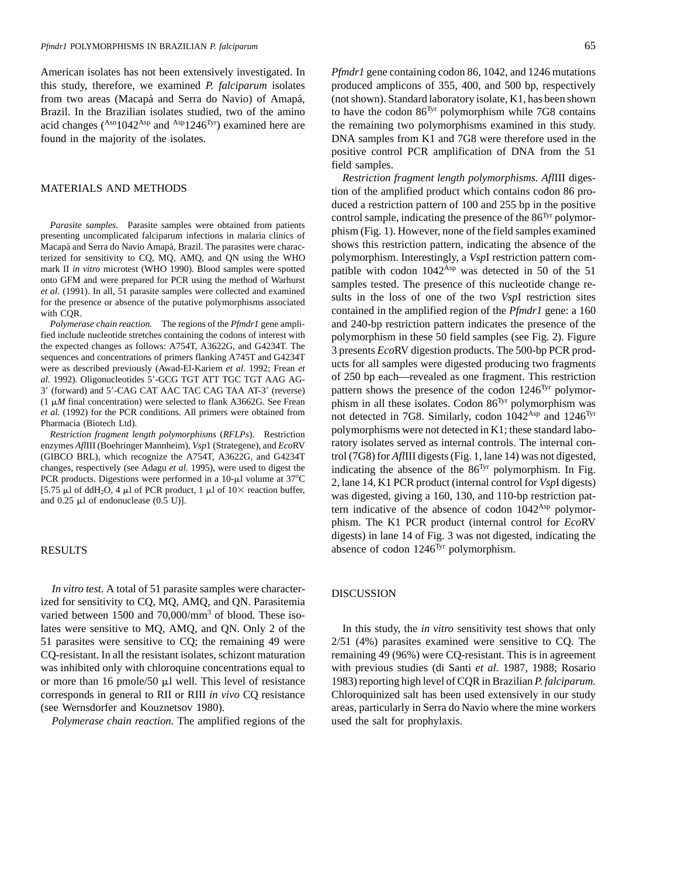American isolates has not been extensively investigated. In *Pfmdr1* gene containing codon 86, 1042, and 1246 mutations this study, therefore, we examined *P. falciparum* isolates produced amplicons of 355, 400, and 500 bp, respectively from two areas (Macapá and Serra do Navio) of Amapá, (not shown). Standard laboratory isolate, K1, has been shown Brazil. In the Brazilian isolates studied, two of the amino polymorphism while 7G8 contains polymorphism while 7G8 contains acid changes (Asn1042Asp and Asp1246Tyr) examined here are the remaining two polymorphisms examined in this study. found in the majority of the isolates. DNA samples from K1 and 7G8 were therefore used in the

*In vitro test.* A total of 51 parasite samples were character-<br>DISCUSSION ized for sensitivity to CQ, MQ, AMQ, and QN. Parasitemia varied between 1500 and 70,000/mm<sup>3</sup> of blood. These isolates were sensitive to MQ, AMQ, and QN. Only 2 of the In this study, the *in vitro* sensitivity test shows that only CQ-resistant. In all the resistant isolates, schizont maturation remaining 49 (96%) were CQ-resistant. This is in agreement or more than 16 pmole/50 µl well. This level of resistance 1983) reporting high level of COR in Brazilian *P. falciparum.* corresponds in general to RII or RIII *in vivo* CQ resistance Chloroquinized salt has been used extensively in our study (see Wernsdorfer and Kouznetsov 1980). areas, particularly in Serra do Navio where the mine workers

*Polymerase chain reaction.* The amplified regions of the used the salt for prophylaxis.

positive control PCR amplification of DNA from the 51 field samples.

*Restriction fragment length polymorphisms. Afl*III diges-MATERIALS AND METHODS tion of the amplified product which contains codon 86 produced a restriction pattern of 100 and 255 bp in the positive *Parasite samples.* Parasite samples were obtained from patients control sample, indicating the presence of the 86<sup>Tyr</sup> polymor-<br>presenting uncomplicated falciparum infections in malaria clinics of phism (Fig. 1). However, Macapá and Serra do Navio Amapá, Brazil. The parasites were charac- shows this restriction pattern, indicating the absence of the terized for sensitivity to CQ, MQ, AMQ, and QN using the WHO polymorphism. Interestingly, a *VspI* restriction pattern com-<br>mark II in vitro microtest (WHO 1990). Blood samples were spotted patible with codon 1042<sup>Asp</sup> was mark II *in vitro* microtest (WHO 1990). Blood samples were spotted patible with codon  $1042^{Asp}$  was detected in 50 of the 51 onto GFM and were prepared for PCR using the method of Warhurst samples to the The prosence of onto GFM and were prepared for PCR using the method of Warnurst<br>
et al. (1991). In all, 51 parasite samples were collected and examined<br>
for the presence or absence of the putative polymorphisms associated<br>
sults in the lo with COR.<br>
with COR.<br>
contained in the amplified region of the *Pfmdr1* gene: a 160 *Polymerase chain reaction.* The regions of the *Pfmdr1* gene ampli- and 240-bp restriction pattern indicates the presence of the fied include nucleotide stretches containing the codons of interest with<br>the expected changes as follows: A754T, A3622G, and G4234T. The<br>sequences and concentrations of primers flanking A745T and G4234T<br>were as described p *al.* 1992). Oligonucleotides 58-GCG TGT ATT TGC TGT AAG AG- of 250 bp each—revealed as one fragment. This restriction 3' (forward) and 5'-CAG CAT AAC TAC CAG TAA AT-3' (reverse) pattern shows the presence of the codon 1246<sup>Tyr</sup> polymor-(1  $\mu$ M final concentration) were selected to flank A3662G. See Frean<br>et al. (1992) for the PCR conditions. All primers were obtained from the detected in 7G8. Similarly, codon  $1042^{Asp}$  and  $1246^{Tyr}$ <br>Pharmacia (Biotec *Restriction fragment length polymorphisms (RFLPs).* Restriction<br>enzymes *AfIIII* (Boehringer Mannheim), *Vsp1* (Strategene), and *EcoRV* ratory isolates served as internal controls. The internal con-(GIBCO BRL), which recognize the A754T, A3622G, and G4234T trol (7G8) for *Afl*III digests (Fig. 1, lane 14) was not digested, changes, respectively (see Adagu *et al.* 1995), were used to digest the indicating the absence of the 86<sup>Tyr</sup> polymorphism. In Fig.<br>
PCR products. Digestions were performed in a 10-µl volume at 37°C [5.75 µl of ddH<sub>2</sub>O, phism. The K1 PCR product (internal control for *Eco*RV digests) in lane 14 of Fig. 3 was not digested, indicating the RESULTS absence of codon  $1246<sup>Tyr</sup>$  polymorphism.

51 parasites were sensitive to CQ; the remaining 49 were 2/51 (4%) parasites examined were sensitive to CQ. The was inhibited only with chloroquine concentrations equal to with previous studies (di Santi *et al.* 1987, 1988; Rosario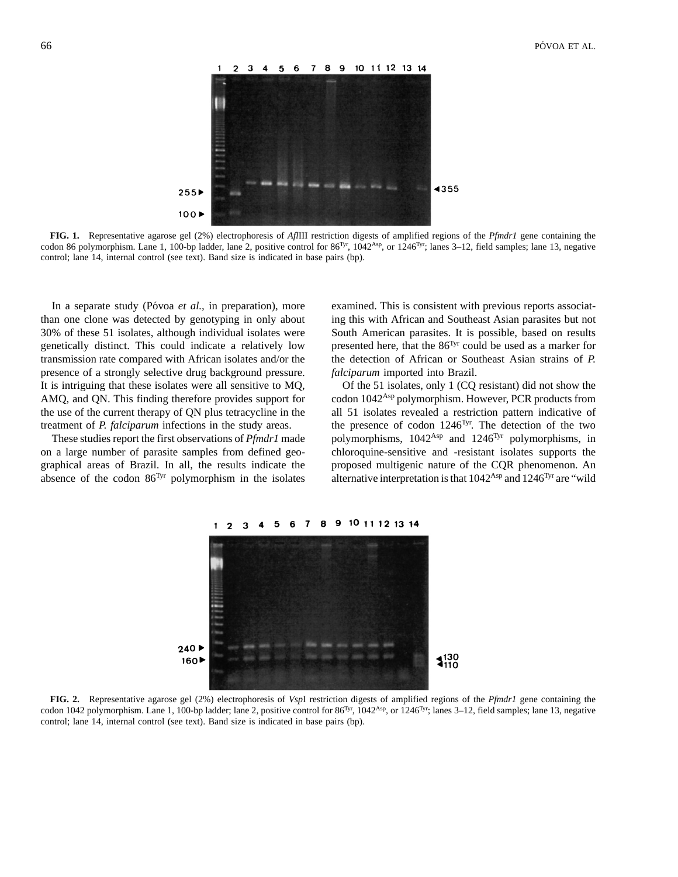

**FIG. 1.** Representative agarose gel (2%) electrophoresis of *Afl*III restriction digests of amplified regions of the *Pfmdr1* gene containing the codon 86 polymorphism. Lane 1, 100-bp ladder, lane 2, positive control for  $86<sup>Tyr</sup>$ ,  $1042<sup>Asp</sup>$ , or  $1246<sup>Tyr</sup>$ ; lanes  $3-12$ , field samples; lane 13, negative control; lane 14, internal control (see text). Band size is indicated in base pairs (bp).

than one clone was detected by genotyping in only about ing this with African and Southeast Asian parasites but not 30% of these 51 isolates, although individual isolates were South American parasites. It is possible, based on results genetically distinct. This could indicate a relatively low cresented here, that the  $86<sup>Tyr</sup>$  could be used as a marker for transmission rate compared with African isolates and/or the the detection of African or Southeast Asian strains of *P.* presence of a strongly selective drug background pressure. *falciparum* imported into Brazil. It is intriguing that these isolates were all sensitive to MQ, Of the 51 isolates, only 1 (CQ resistant) did not show the AMQ, and QN. This finding therefore provides support for codon  $1042<sup>Asp</sup>$  polymorphism. However, PCR products from the use of the current therapy of QN plus tetracycline in the all 51 isolates revealed a restriction pattern indicative of treatment of *P. falciparum* infections in the study areas. . . . . the presence of codon 1246<sup>Tyr</sup>. The detection of the two

on a large number of parasite samples from defined geo- chloroquine-sensitive and -resistant isolates supports the graphical areas of Brazil. In all, the results indicate the proposed multigenic nature of the CQR phenomenon. An absence of the codon 86<sup>Tyr</sup> polymorphism in the isolates alternative interpretation is that  $1042<sup>Asp</sup>$  and  $1246<sup>Tyr</sup>$  are "wild

In a separate study (Póvoa *et al.*, in preparation), more examined. This is consistent with previous reports associat-

These studies report the first observations of *Pfmdr1* made polymorphisms, 1042<sup>Asp</sup> and 1246<sup>Tyr</sup> polymorphisms, in

8 9 10 11 12 13 14 6  $\overline{7}$  $\blacksquare$  $\mathbf{r}$  $\mathbf{r}$ 



**FIG. 2.** Representative agarose gel (2%) electrophoresis of *Vsp*I restriction digests of amplified regions of the *Pfmdr1* gene containing the codon 1042 polymorphism. Lane 1, 100-bp ladder; lane 2, positive control for  $86<sup>Tyr</sup>$ ,  $1042<sup>Asp</sup>$ , or  $1246<sup>Tyr</sup>$ ; lanes 3–12, field samples; lane 13, negative control; lane 14, internal control (see text). Band size is indicated in base pairs (bp).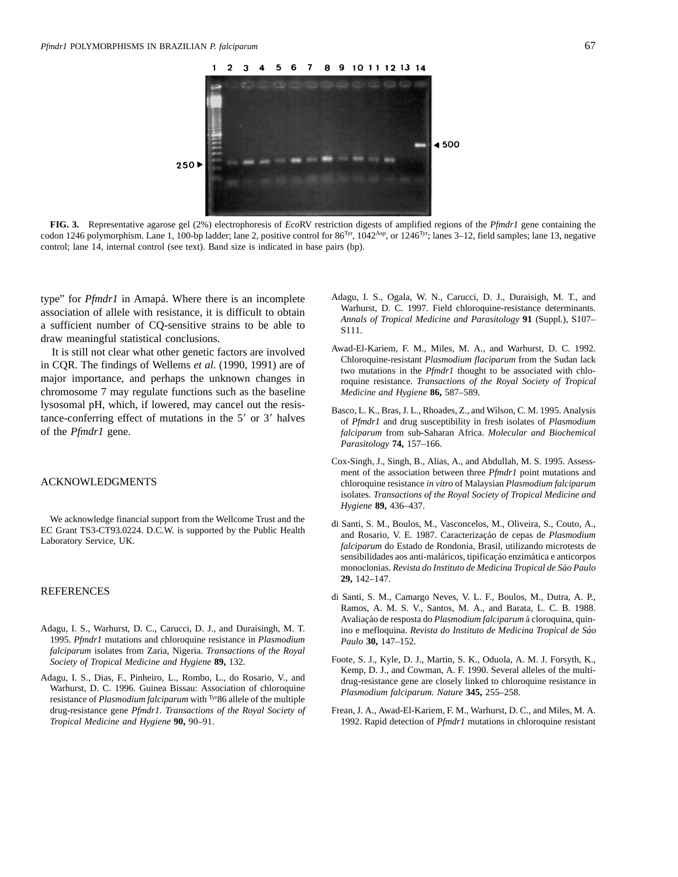

**FIG. 3.** Representative agarose gel (2%) electrophoresis of *Eco*RV restriction digests of amplified regions of the *Pfmdr1* gene containing the codon 1246 polymorphism. Lane 1, 100-bp ladder; lane 2, positive control for  $86<sup>Tyr</sup>$ ,  $1042<sup>Asp</sup>$ , or  $1246<sup>Tyr</sup>$ ; lanes 3–12, field samples; lane 13, negative control; lane 14, internal control (see text). Band size is indicated in base pairs (bp).

draw meaningful statistical conclusions.

chromosome 7 may regulate functions such as the baseline *Medicine and Hygiene* **86,** 587–589. lysosomal pH, which, if lowered, may cancel out the resis-<br>tance-conferring effect of mutations in the 5' or 3' halves<br>of *Pfmdr1* and drug susceptibility in fresh isolates of *Plasmodium*<br>of the *Pfmdr1* gene.<br>*falciparum* 

We acknowledge financial support from the Wellcome Trust and the Business EC Grant TS3-CT93.0224. D.C.W. is supported by the Public Health Laboratory Service, UK. The C Grant TS3-CT93.0224. D.C.W. is supported by the Publi

- 1995. *Pfmdr1* mutations and chloroquine resistance in *Plasmodium Paulo* **30,** 147–152. *falciparum* isolates from Zaria, Nigeria. *Transactions of the Royal*
- resistance of *Plasmodium falciparum* with <sup>Tyr</sup>86 allele of the multiple drug-resistance gene *Pfmdr1. Transactions of the Royal Society of* Frean, J. A., Awad-El-Kariem, F. M., Warhurst, D. C., and Miles, M. A.
- type" for *Pfmdr1* in Amapá. Where there is an incomplete Adagu, I. S., Ogala, W. N., Carucci, D. J., Duraisigh, M. T., and esseguistion of ellale with registance it is difficult to obtain Warhurst, D. C. 1997. Field chlor association of allele with resistance, it is difficult to obtain<br>a sufficient number of CQ-sensitive strains to be able to<br> $\frac{\text{Marnurst, D. C. 1997. Field chloroquence resistance determinants}}{\text{S111}}$ .
- It is still not clear what other genetic factors are involved<br>in CQR. The findings of Wellems *et al.* (1990, 1991) are of<br>major importance, and perhaps the unknown changes in<br>major importance, and perhaps the unknown chan
	- falciparum from sub-Saharan Africa. *Molecular and Biochemical Parasitology* **74,** 157–166.
- Cox-Singh, J., Singh, B., Alias, A., and Abdullah, M. S. 1995. Assessment of the association between three *Pfmdr1* point mutations and ACKNOWLEDGMENTS chloroquine resistance *in vitro* of Malaysian *Plasmodium falciparum* isolates. *Transactions of the Royal Society of Tropical Medicine and Hygiene* **89,** 436–437.
	- sensibilidades aos anti-maláricos, tipificação enzimática e anticorpos monoclonias. *Revista do Instituto de Medicina Tropical de Sa´o Paulo* **29,** 142–147.
- REFERENCES di Santi, S. M., Camargo Neves, V. L. F., Boulos, M., Dutra, A. P., Ramos, A. M. S. V., Santos, M. A., and Barata, L. C. B. 1988. Avaliação de resposta do *Plasmodium falciparum* á cloroquina, quin-Adagu, I. S., Warhurst, D. C., Carucci, D. J., and Duraisingh, M. T. ino e mefloquina. *Revista do Instituto de Medicina Tropical de Sa´o*
- *Society of Tropical Medicine and Hygiene* **89,** 132. Foote, S. J., Kyle, D. J., Martin, S. K., Oduola, A. M. J. Forsyth, K., *Kyle, D. J.*, and Cowman, A. F. 1990. Several alleles of the multi-Adagu, I. S., Dias, F., Pinheiro, L., Rombo, L., do Rosario, V., and<br>Warhurst, D. C. 1996. Guinea Bissau: Association of chloroquine<br>Plasmodium falciparum. Nature 345, 255–258.
	- *Tropical Medicine and Hygiene* **90,** 90–91. 1992. Rapid detection of *Pfmdr1* mutations in chloroquine resistant